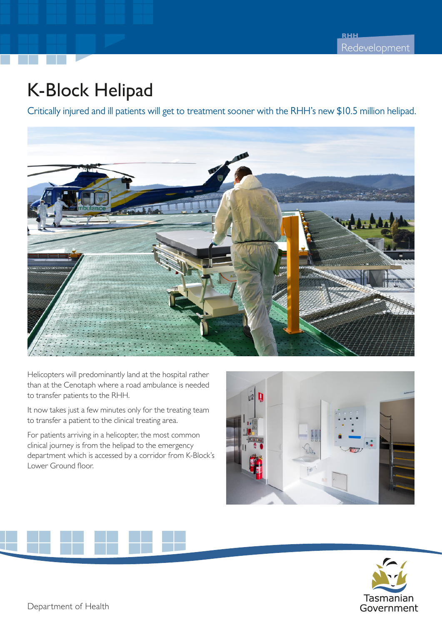## K-Block Helipad

Critically injured and ill patients will get to treatment sooner with the RHH's new \$10.5 million helipad.



Helicopters will predominantly land at the hospital rather than at the Cenotaph where a road ambulance is needed to transfer patients to the RHH.

It now takes just a few minutes only for the treating team to transfer a patient to the clinical treating area.

For patients arriving in a helicopter, the most common clinical journey is from the helipad to the emergency department which is accessed by a corridor from K-Block's Lower Ground floor.